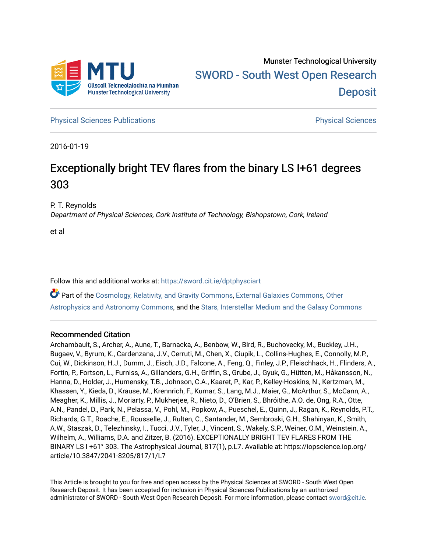

**[Physical Sciences Publications](https://sword.cit.ie/dptphysciart) Provide Access Publications Physical Sciences** Physical Sciences

2016-01-19

# Exceptionally bright TEV flares from the binary LS I+61 degrees 303

P. T. Reynolds

Department of Physical Sciences, Cork Institute of Technology, Bishopstown, Cork, Ireland

et al

Follow this and additional works at: [https://sword.cit.ie/dptphysciart](https://sword.cit.ie/dptphysciart?utm_source=sword.cit.ie%2Fdptphysciart%2F112&utm_medium=PDF&utm_campaign=PDFCoverPages)

Part of the [Cosmology, Relativity, and Gravity Commons,](http://network.bepress.com/hgg/discipline/129?utm_source=sword.cit.ie%2Fdptphysciart%2F112&utm_medium=PDF&utm_campaign=PDFCoverPages) [External Galaxies Commons](http://network.bepress.com/hgg/discipline/128?utm_source=sword.cit.ie%2Fdptphysciart%2F112&utm_medium=PDF&utm_campaign=PDFCoverPages), [Other](http://network.bepress.com/hgg/discipline/130?utm_source=sword.cit.ie%2Fdptphysciart%2F112&utm_medium=PDF&utm_campaign=PDFCoverPages) [Astrophysics and Astronomy Commons,](http://network.bepress.com/hgg/discipline/130?utm_source=sword.cit.ie%2Fdptphysciart%2F112&utm_medium=PDF&utm_campaign=PDFCoverPages) and the [Stars, Interstellar Medium and the Galaxy Commons](http://network.bepress.com/hgg/discipline/127?utm_source=sword.cit.ie%2Fdptphysciart%2F112&utm_medium=PDF&utm_campaign=PDFCoverPages)

## Recommended Citation

Archambault, S., Archer, A., Aune, T., Barnacka, A., Benbow, W., Bird, R., Buchovecky, M., Buckley, J.H., Bugaev, V., Byrum, K., Cardenzana, J.V., Cerruti, M., Chen, X., Ciupik, L., Collins-Hughes, E., Connolly, M.P., Cui, W., Dickinson, H.J., Dumm, J., Eisch, J.D., Falcone, A., Feng, Q., Finley, J.P., Fleischhack, H., Flinders, A., Fortin, P., Fortson, L., Furniss, A., Gillanders, G.H., Griffin, S., Grube, J., Gyuk, G., Hütten, M., Håkansson, N., Hanna, D., Holder, J., Humensky, T.B., Johnson, C.A., Kaaret, P., Kar, P., Kelley-Hoskins, N., Kertzman, M., Khassen, Y., Kieda, D., Krause, M., Krennrich, F., Kumar, S., Lang, M.J., Maier, G., McArthur, S., McCann, A., Meagher, K., Millis, J., Moriarty, P., Mukherjee, R., Nieto, D., O'Brien, S., Bhróithe, A.O. de, Ong, R.A., Otte, A.N., Pandel, D., Park, N., Pelassa, V., Pohl, M., Popkow, A., Pueschel, E., Quinn, J., Ragan, K., Reynolds, P.T., Richards, G.T., Roache, E., Rousselle, J., Rulten, C., Santander, M., Sembroski, G.H., Shahinyan, K., Smith, A.W., Staszak, D., Telezhinsky, I., Tucci, J.V., Tyler, J., Vincent, S., Wakely, S.P., Weiner, O.M., Weinstein, A., Wilhelm, A., Williams, D.A. and Zitzer, B. (2016). EXCEPTIONALLY BRIGHT TEV FLARES FROM THE BINARY LS I +61° 303. The Astrophysical Journal, 817(1), p.L7. Available at: https://iopscience.iop.org/ article/10.3847/2041-8205/817/1/L7

This Article is brought to you for free and open access by the Physical Sciences at SWORD - South West Open Research Deposit. It has been accepted for inclusion in Physical Sciences Publications by an authorized administrator of SWORD - South West Open Research Deposit. For more information, please contact [sword@cit.ie.](mailto:sword@cit.ie)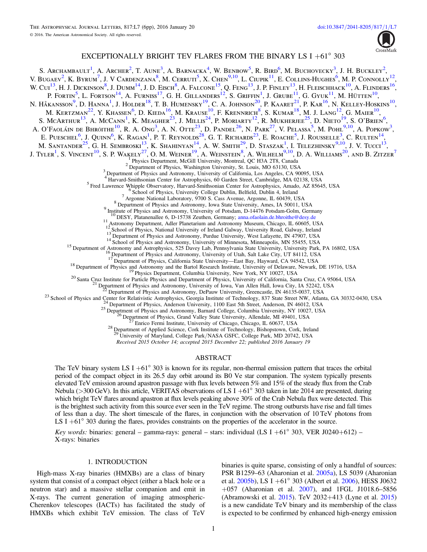

## EXCEPTIONALLY BRIGHT TEV FLARES FROM THE BINARY LS I  $+61^{\circ}$  303

<span id="page-1-8"></span><span id="page-1-7"></span><span id="page-1-6"></span><span id="page-1-5"></span><span id="page-1-4"></span><span id="page-1-3"></span><span id="page-1-2"></span><span id="page-1-1"></span><span id="page-1-0"></span>S. Archambault<sup>[1](#page-1-0)</sup>, A. Archer<sup>[2](#page-1-1)</sup>, T. Aune<sup>[3](#page-1-2)</sup>, A. Barnacka<sup>[4](#page-1-3)</sup>, W. Benbow<sup>[5](#page-1-4)</sup>, R. Bird<sup>[6](#page-1-5)</sup>, M. Buchovecky<sup>3</sup>, J. H. Buckley<sup>2</sup>, V. Bugaev<sup>[2](#page-1-1)</sup>, K. Byrum<sup>[7](#page-1-6)</sup>, J. V Cardenzana<sup>[8](#page-1-7)</sup>, M. Cerruti<sup>[5](#page-1-4)</sup>, X. Chen<sup>[9](#page-1-8)[,10](#page-1-9)</sup>, L. Ciupik<sup>[11](#page-1-10)</sup>, E. Collins-Hughes<sup>[6](#page-1-5)</sup>, M. P. Connolly<sup>[12](#page-1-11)</sup>, W. Cui<sup>[13](#page-1-12)</sup>, H. J. Dickinson<sup>[8](#page-1-7)</sup>, J. Dumm<sup>[14](#page-1-13)</sup>, J. D. Eisch<sup>8</sup>, A. Falcone<sup>[15](#page-1-14)</sup>, O. Feng<sup>13</sup>, J. P. Finley<sup>13</sup>, H. Fleischhack<sup>[10](#page-1-9)</sup>, A. Flinders<sup>[16](#page-1-15)</sup>, P. Fortin<sup>[5](#page-1-4)</sup>, L. Fortson<sup>[14](#page-1-13)</sup>, A. Furniss<sup>[17](#page-1-16)</sup>, G. H. Gillanders<sup>[12](#page-1-11)</sup>, S. Griffin<sup>[1](#page-1-0)</sup>, J. Grube<sup>[11](#page-1-10)</sup>, G. Gyuk<sup>11</sup>, M. Hütten<sup>[10](#page-1-9)</sup>, N. Håkansson<sup>[9](#page-1-8)</sup>, D. Hanna<sup>[1](#page-1-0)</sup>, J. Holder<sup>[18](#page-1-17)</sup>, T. B. Humensky<sup>[19](#page-1-18)</sup>, C. A. Johnson<sup>[20](#page-1-19)</sup>, P. Kaaret<sup>[21](#page-1-20)</sup>, P. Kar<sup>[16](#page-1-15)</sup>, N. Kelley-Hoskins<sup>[10](#page-1-9)</sup>, M. Kertzman<sup>[22](#page-1-21)</sup>, Y. Khassen<sup>[6](#page-1-5)</sup>, D. Kieda<sup>[16](#page-1-15)</sup>, M. Krause<sup>[10](#page-1-9)</sup>, F. Krennrich<sup>[8](#page-1-7)</sup>, S. Kumar<sup>[18](#page-1-17)</sup>, M. J. Lang<sup>[12](#page-1-11)</sup>, G. Maier<sup>10</sup>, S. McArthur<sup>[13](#page-1-12)</sup>, A. McCann<sup>[1](#page-1-0)</sup>, K. Meagher<sup>[23](#page-1-22)</sup>, J. Millis<sup>[24](#page-1-23)</sup>, P. Moriarty<sup>[12](#page-1-11)</sup>, R. Mukherjee<sup>[25](#page-1-24)</sup>, D. Nieto<sup>[19](#page-1-18)</sup>, S. O'Brien<sup>[6](#page-1-5)</sup>, A. O'Faoláin de Bhróithe<sup>[10](#page-1-9)</sup>, R. A. Ong<sup>[3](#page-1-2)</sup>, A. N. Otte<sup>[23](#page-1-22)</sup>, D. Pandel<sup>[26](#page-1-25)</sup>, N. Park<sup>[27](#page-1-26)</sup>, V. Pelassa<sup>[5](#page-1-4)</sup>, M. Pohl<sup>[9](#page-1-8)[,10](#page-1-9)</sup>, A. Popkow<sup>3</sup>, E. PUESCHEL<sup>[6](#page-1-5)</sup>, J. OUINN<sup>6</sup>, K. Ragan<sup>[1](#page-1-0)</sup>, P. T. Reynolds<sup>[28](#page-1-27)</sup>, G. T. Richards<sup>[23](#page-1-22)</sup>, E. Roache<sup>[5](#page-1-4)</sup>, J. Rousselle<sup>[3](#page-1-2)</sup>, C. Rulten<sup>[14](#page-1-13)</sup>, M. Santander<sup>[25](#page-1-24)</sup>, G. H. Sembroski<sup>[13](#page-1-12)</sup>, K. Shahinyan<sup>[14](#page-1-13)</sup>, A. W. Smith<sup>[29](#page-1-28)</sup>, D. Staszak<sup>[1](#page-1-0)</sup>, I. Telezhinsky<sup>[9](#page-1-8)[,10](#page-1-9)</sup>, J. V. Tucci<sup>13</sup>, J. Tyler<sup>[1](#page-1-0)</sup>, S. Vincent<sup>[10](#page-1-9)</sup>, S. P. Wakely<sup>[27](#page-1-26)</sup>, O. M. Weiner<sup>[19](#page-1-18)</sup>, A. Weinstein<sup>[8](#page-1-7)</sup>, A. Wilhelm<sup>[9](#page-1-8)[,10](#page-1-9)</sup>, D. A. Williams<sup>[20](#page-1-19)</sup>, and B. Zitzer<sup>[7](#page-1-6)</sup> Physics Department, McGill University, Montreal, QC H3A 2T8, Canada<br><sup>2</sup> Department of Physics, Washington University, St. Louis, MO 63130, USA<br><sup>3</sup> Department of Physics and Astronomy, University of California, Los Angeles, <sup>3</sup> Department of Physics and Astronomy, University of California, Los Angeles, CA 90095, USA<br><sup>4</sup> Harvard-Smithsonian Center for Astrophysics, 60 Garden Street, Cambridge, MA 02138, USA<br><sup>5</sup> Fred Lawrence Whipple Observato 11 Astronomy Department, Adler Planetarium and Astronomy Museum, Chicago, IL 60605, USA<br><sup>12</sup> School of Physics, National University of Ireland Galway, University Road, Galway, Ireland <sup>13</sup> Department of Physics and Astronomy, Purdue University, West Lafayette, IN 47907, USA<br><sup>14</sup> School of Physics and Astronomy, University of Minnesota, Minneapolis, MN 55455, USA<br><sup>15</sup> Department of Astronomy and Astrophy <sup>18</sup> Department of Physics and Astronomy and the Bartol Research Institute, University of Delaware, Newark, DE 19716, USA<br><sup>19</sup> Physics Department, Columbia University, New York, NY 10027, USA<br><sup>20</sup> Santa Cruz Institute for

<span id="page-1-18"></span><span id="page-1-17"></span><span id="page-1-16"></span><span id="page-1-15"></span><span id="page-1-14"></span><span id="page-1-13"></span><span id="page-1-12"></span><span id="page-1-11"></span><span id="page-1-10"></span><span id="page-1-9"></span>

University of Maryland, College Park/NASA GSFC, College Park, MD 20742, USA

Received 2015 October 14; accepted 2015 December 22; published 2016 January 19

#### ABSTRACT

<span id="page-1-28"></span><span id="page-1-27"></span><span id="page-1-26"></span><span id="page-1-25"></span><span id="page-1-24"></span><span id="page-1-23"></span><span id="page-1-22"></span><span id="page-1-21"></span><span id="page-1-20"></span><span id="page-1-19"></span>The TeV binary system LS I +61 $\degree$  303 is known for its regular, non-thermal emission pattern that traces the orbital period of the compact object in its 26.5 day orbit around its B0 Ve star companion. The system typically presents elevated TeV emission around apastron passage with flux levels between 5% and 15% of the steady flux from the Crab Nebula (>300 GeV). In this article, VERITAS observations of LS I +61° 303 taken in late 2014 are presented, during which bright TeV flares around apastron at flux levels peaking above 30% of the Crab Nebula flux were detected. This is the brightest such activity from this source ever seen in the TeV regime. The strong outbursts have rise and fall times of less than a day. The short timescale of the flares, in conjunction with the observation of 10 TeV photons from LS I +61<sup>°</sup> 303 during the flares, provides constraints on the properties of the accelerator in the source.

Key words: binaries: general – gamma-rays: general – stars: individual (LS I +61 $^{\circ}$  303, VER J0240+612) – X-rays: binaries

## 1. INTRODUCTION

High-mass X-ray binaries (HMXBs) are a class of binary system that consist of a compact object (either a black hole or a neutron star) and a massive stellar companion and emit in X-rays. The current generation of imaging atmospheric-Cherenkov telescopes (IACTs) has facilitated the study of HMXBs which exhibit TeV emission. The class of TeV

binaries is quite sparse, consisting of only a handful of sources: PSR B1259–63 (Aharonian et al. [2005a](#page-5-0)), LS 5039 (Aharonian et al. [2005b](#page-5-1)), LS I +61° 303 (Albert et al. [2006](#page-5-2)), HESS J0632  $+057$  (Aharonian et al. [2007](#page-5-3)), and 1FGL J1018.6-5856 (Abramowski et al. [2015](#page-5-4)). TeV 2032+413 (Lyne et al. [2015](#page-5-5)) is a new candidate TeV binary and its membership of the class is expected to be confirmed by enhanced high-energy emission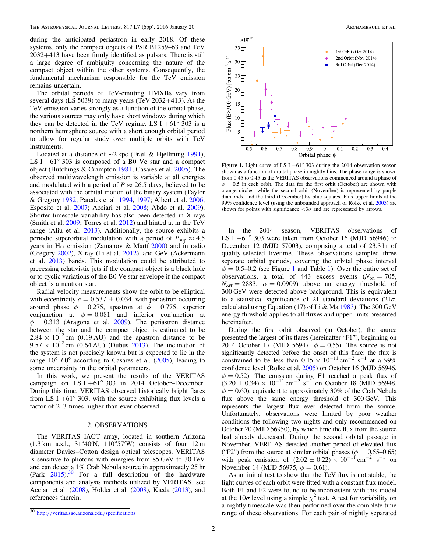during the anticipated periastron in early 2018. Of these systems, only the compact objects of PSR B1259–63 and TeV 2032+413 have been firmly identified as pulsars. There is still a large degree of ambiguity concerning the nature of the compact object within the other systems. Consequently, the fundamental mechanism responsible for the TeV emission remains uncertain.

The orbital periods of TeV-emitting HMXBs vary from several days (LS 5039) to many years (TeV 2032+413). As the TeV emission varies strongly as a function of the orbital phase, the various sources may only have short windows during which they can be detected in the TeV regime. LS I +61 $^{\circ}$  303 is a northern hemisphere source with a short enough orbital period to allow for regular study over multiple orbits with TeV instruments.

Located at a distance of ∼2 kpc (Frail & Hjellming [1991](#page-5-6)), LS I  $+61^{\circ}$  303 is composed of a B0 Ve star and a compact object (Hutchings & Crampton [1981](#page-5-7); Casares et al. [2005](#page-5-8)). The observed multiwavelength emission is variable at all energies and modulated with a period of  $P \approx 26.5$  days, believed to be associated with the orbital motion of the binary system (Taylor & Gregory [1982](#page-6-0); Paredes et al. [1994](#page-6-1), [1997;](#page-5-9) Albert et al. [2006](#page-5-2); Esposito et al. [2007;](#page-5-10) Acciari et al. [2008](#page-5-11); Abdo et al. [2009](#page-5-12)). Shorter timescale variability has also been detected in X-rays (Smith et al. [2009;](#page-6-2) Torres et al. [2012](#page-6-3)) and hinted at in the TeV range (Aliu et al. [2013](#page-5-13)). Additionally, the source exhibits a periodic superorbital modulation with a period of  $P_{\text{sub}} \approx 4.5$ years in H $\alpha$  emission (Zamanov & Martí [2000](#page-6-4)) and in radio (Gregory [2002](#page-5-14)), X-ray (Li et al. [2012](#page-5-15)), and GeV (Ackermann et al. [2013](#page-5-16)) bands. This modulation could be attributed to precessing relativistic jets if the compact object is a black hole or to cyclic variations of the B0 Ve star envelope if the compact object is a neutron star.

Radial velocity measurements show the orbit to be elliptical with eccentricity  $e = 0.537 \pm 0.034$ , with periastron occurring around phase  $\phi = 0.275$ , apastron at  $\phi = 0.775$ , superior conjunction at  $\phi = 0.081$  and inferior conjunction at  $\phi = 0.313$  (Aragona et al. [2009](#page-5-17)). The periastron distance between the star and the compact object is estimated to be  $2.84 \times 10^{12}$  cm (0.19 AU) and the apastron distance to be  $9.57 \times 10^{12}$  cm (0.64 AU) (Dubus [2013](#page-5-18)). The inclination of the system is not precisely known but is expected to lie in the range  $10^{\circ}$ –60° according to Casares et al. ([2005](#page-5-8)), leading to some uncertainty in the orbital parameters.

In this work, we present the results of the VERITAS campaign on LS I +61 $\degree$  303 in 2014 October–December. During this time, VERITAS observed historically bright flares from LS I +61 $\degree$  303, with the source exhibiting flux levels a factor of 2–3 times higher than ever observed.

#### 2. OBSERVATIONS

The VERITAS IACT array, located in southern Arizona  $(1.3 \text{ km} \text{ a.s.}$ .,  $31^{\circ}40'$ N,  $110^{\circ}57'$ W) consists of four 12 m diameter Davies–Cotton design optical telescopes. VERITAS is sensitive to photons with energies from 85 GeV to 30 TeV and can detect a 1% Crab Nebula source in approximately 25 hr (Park  $2015$ ).<sup>[30](#page-2-0)</sup> For a full description of the hardware components and analysis methods utilized by VERITAS, see Acciari et al. ([2008](#page-5-11)), Holder et al. ([2008](#page-5-19)), Kieda ([2013](#page-5-20)), and references therein.

<span id="page-2-1"></span>

Figure 1. Light curve of LS I +61 $\degree$  303 during the 2014 observation season shown as a function of orbital phase in nightly bins. The phase range is shown from 0.45 to 0.45 as the VERITAS observations commenced around a phase of  $\phi = 0.5$  in each orbit. The data for the first orbit (October) are shown with orange circles, while the second orbit (November) is represented by purple diamonds, and the third (December) by blue squares. Flux upper limits at the 99% confidence level (using the unbounded approach of Rolke et al. [2005](#page-6-6)) are shown for points with significance  $\langle 3\sigma \rangle$  and are represented by arrows.

In the 2014 season, VERITAS observations of LS I  $+61^{\circ}$  303 were taken from October 16 (MJD 56946) to December 12 (MJD 57003), comprising a total of 23.3 hr of quality-selected livetime. These observations sampled three separate orbital periods, covering the orbital phase interval  $\phi = 0.5$ –0.2 (see Figure [1](#page-3-0) and Table 1). Over the entire set of observations, a total of 443 excess events  $(N_{on} = 705,$  $N_{\text{off}} = 2883$ ,  $\alpha = 0.0909$ ) above an energy threshold of 300 GeV were detected above background. This is equivalent to a statistical significance of 21 standard deviations  $(21\sigma,$ calculated using Equation (17) of Li & Ma  $1983$ ). The 300 GeV energy threshold applies to all fluxes and upper limits presented hereinafter.

During the first orbit observed (in October), the source presented the largest of its flares (hereinafter "F1"), beginning on 2014 October 17 (MJD 56947,  $\phi = 0.55$ ). The source is not significantly detected before the onset of this flare: the flux is constrained to be less than  $0.15 \times 10^{-11}$  cm<sup>-2</sup> s<sup>-1</sup> at a 99% confidence level (Rolke et al. [2005](#page-6-6)) on October 16 (MJD 56946,  $\phi = 0.52$ ). The emission during F1 reached a peak flux of  $(3.20 \pm 0.34) \times 10^{-11}$  cm<sup>-2</sup> s<sup>-1</sup> on October 18 (MJD 56948,  $\phi = 0.60$ , equivalent to approximately 30% of the Crab Nebula flux above the same energy threshold of 300 GeV. This represents the largest flux ever detected from the source. Unfortunately, observations were limited by poor weather conditions the following two nights and only recommenced on October 20 (MJD 56950), by which time the flux from the source had already decreased. During the second orbital passage in November, VERITAS detected another period of elevated flux ("F2") from the source at similar orbital phases ( $\phi = 0.55{\text -}0.65$ ) with peak emission of  $(2.02 \pm 0.22) \times 10^{-11}$  cm<sup>-2</sup> s<sup>-1</sup> on November 14 (MJD 56975,  $\phi = 0.61$ ).

As an initial test to show that the TeV flux is not stable, the light curves of each orbit were fitted with a constant flux model. Both F1 and F2 were found to be inconsistent with this model at the 10 $\sigma$  level using a simple  $\chi^2$  test. A test for variability on a nightly timescale was then performed over the complete time range of these observations. For each pair of nightly separated

<span id="page-2-0"></span><sup>30</sup> http://[veritas.sao.arizona.edu](http://veritas.sao.arizona.edu/specifications)/specifications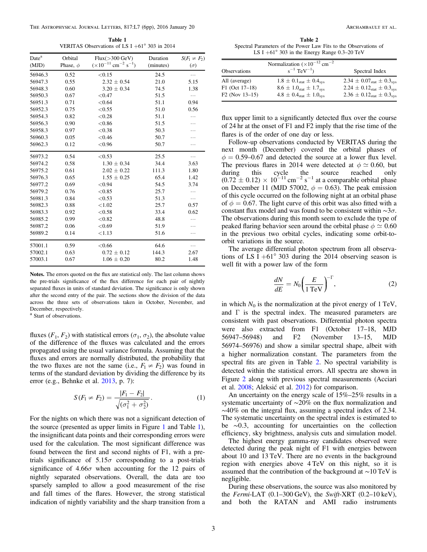<span id="page-3-0"></span>The Astrophysical Journal Letters, 817:L7 (6pp), 2016 January 20 Archambault et al.

Table 1 VERITAS Observations of LS I +61° 303 in 2014

| Date <sup>a</sup> | Orbital       | Flux(>300 GeV)                                        | Duration  | $S(F_1 \neq F_2)$ |
|-------------------|---------------|-------------------------------------------------------|-----------|-------------------|
| (MJD)             | Phase, $\phi$ | $(\times 10^{-11}$ cm <sup>-2</sup> s <sup>-1</sup> ) | (minutes) | $(\sigma)$        |
| 56946.3           | 0.52          | < 0.15                                                | 24.5      | .                 |
| 56947.3           | 0.55          | $2.32 \pm 0.54$                                       | 21.0      | 5.15              |
| 56948.3           | 0.60          | $3.20 \pm 0.34$                                       | 74.5      | 1.38              |
| 56950.3           | 0.67          | < 0.47                                                | 51.5      | $\ldots$          |
| 56951.3           | 0.71          | < 0.64                                                | 51.1      | 0.94              |
| 56952.3           | 0.75          | < 0.55                                                | 51.0      | 0.56              |
| 56954.3           | 0.82          | < 0.28                                                | 51.1      | .                 |
| 56956.3           | 0.90          | ${<}0.86$                                             | 51.5      | .                 |
| 56958.3           | 0.97          | < 0.38                                                | 50.3      | .                 |
| 56960.3           | 0.05          | < 0.46                                                | 50.7      | .                 |
| 56962.3           | 0.12          | ${<}0.96$                                             | 50.7      | .                 |
| 56973.2           | 0.54          | < 0.53                                                | 25.5      | .                 |
| 56974.2           | 0.58          | $1.30 \pm 0.34$                                       | 34.4      | 3.63              |
| 56975.2           | 0.61          | $2.02 \pm 0.22$                                       | 111.3     | 1.80              |
| 56976.3           | 0.65          | $1.55 \pm 0.25$                                       | 65.4      | 1.42              |
| 56977.2           | 0.69          | < 0.94                                                | 54.5      | 3.74              |
| 56979.2           | 0.76          | < 0.85                                                | 25.7      | .                 |
| 56981.3           | 0.84          | < 0.53                                                | 51.3      |                   |
| 56982.3           | 0.88          | < 1.02                                                | 25.7      | 0.57              |
| 56983.3           | 0.92          | < 0.58                                                | 33.4      | 0.62              |
| 56985.2           | 0.99          | < 0.82                                                | 48.8      | .                 |
| 56987.2           | 0.06          | < 0.69                                                | 51.9      | .                 |
| 56989.2           | 0.14          | < 1.13                                                | 51.6      | .                 |
| 57001.1           | 0.59          | < 0.66                                                | 64.6      |                   |
| 57002.1           | 0.63          | $0.72 \pm 0.12$                                       | 144.3     | 2.67              |
| 57003.1           | 0.67          | $1.06 \pm 0.20$                                       | 80.2      | 1.48              |

Notes. The errors quoted on the flux are statistical only. The last column shows the pre-trials significance of the flux difference for each pair of nightly separated fluxes in units of standard deviation. The significance is only shown after the second entry of the pair. The sections show the division of the data across the three sets of observations taken in October, November, and December, respectively.

<sup>a</sup> Start of observations.

fluxes ( $F_1, F_2$ ) with statistical errors ( $\sigma_1, \sigma_2$ ), the absolute value of the difference of the fluxes was calculated and the errors propagated using the usual variance formula. Assuming that the fluxes and errors are normally distributed, the probability that the two fluxes are not the same (i.e.,  $F_1 \neq F_2$ ) was found in terms of the standard deviation by dividing the difference by its error (e.g., Behnke et al. [2013](#page-5-22), p. 7):

$$
S(F_1 \neq F_2) = \frac{|F_1 - F_2|}{\sqrt{(\sigma_1^2 + \sigma_2^2)}}.
$$
 (1)

For the nights on which there was not a significant detection of the source (presented as upper limits in Figure [1](#page-2-1) and Table [1](#page-3-0)), the insignificant data points and their corresponding errors were used for the calculation. The most significant difference was found between the first and second nights of F1, with a pretrials significance of  $5.15\sigma$  corresponding to a post-trials significance of  $4.66\sigma$  when accounting for the 12 pairs of nightly separated observations. Overall, the data are too sparsely sampled to allow a good measurement of the rise and fall times of the flares. However, the strong statistical indication of nightly variability and the sharp transition from a

<span id="page-3-1"></span>Table 2 Spectral Parameters of the Power Law Fits to the Observations of LS I  $+61^{\circ}$  303 in the Energy Range 0.3–20 TeV

| Observations     | Normalization $(\times 10^{-12}$ cm <sup>-2</sup><br>$s^{-1}$ TeV <sup>-1</sup> ) | Spectral Index                       |
|------------------|-----------------------------------------------------------------------------------|--------------------------------------|
| All (average)    | $1.8 \pm 0.1_{stat} \pm 0.4_{sys}$                                                | $2.34 \pm 0.07_{stat} \pm 0.3_{sys}$ |
| $F1$ (Oct 17-18) | $8.6 \pm 1.0_{stat} \pm 1.7_{sys}$                                                | $2.24 \pm 0.12_{stat} \pm 0.3_{sys}$ |
| $F2$ (Nov 13-15) | $4.8 \pm 0.4$ <sub>stat</sub> $\pm 1.0$ <sub>sys</sub>                            | $2.36 \pm 0.12_{stat} \pm 0.3_{sys}$ |

flux upper limit to a significantly detected flux over the course of 24 hr at the onset of F1 and F2 imply that the rise time of the flares is of the order of one day or less.

Follow-up observations conducted by VERITAS during the next month (December) covered the orbital phases of  $\phi = 0.59$ –0.67 and detected the source at a lower flux level. The previous flares in 2014 were detected at  $\phi \simeq 0.60$ , but during this cycle the source reached only  $(0.72 \pm 0.12) \times 10^{-11}$  cm<sup>-2</sup> s<sup>-1</sup> at a comparable orbital phase on December 11 (MJD 57002,  $\phi = 0.63$ ). The peak emission of this cycle occurred on the following night at an orbital phase of  $\phi = 0.67$ . The light curve of this orbit was also fitted with a constant flux model and was found to be consistent within  $\sim$ 3 $\sigma$ . The observations during this month seem to exclude the type of peaked flaring behavior seen around the orbital phase  $\phi \simeq 0.60$ in the previous two orbital cycles, indicating some orbit-toorbit variations in the source.

The average differential photon spectrum from all observations of LS I +61 $\degree$  303 during the 2014 observing season is well fit with a power law of the form

$$
\frac{dN}{dE} = N_0 \left(\frac{E}{1 \text{ TeV}}\right)^{-\Gamma},\tag{2}
$$

in which  $N_0$  is the normalization at the pivot energy of 1 TeV, and  $\Gamma$  is the spectral index. The measured parameters are consistent with past observations. Differential photon spectra were also extracted from F1 (October 17–18, MJD 56947–56948) and F2 (November 13–15, MJD 56974–56976) and show a similar spectral shape, albeit with a higher normalization constant. The parameters from the spectral fits are given in Table [2.](#page-3-1) No spectral variability is detected within the statistical errors. All spectra are shown in Figure [2](#page-4-0) along with previous spectral measurements (Acciari et al. [2008](#page-5-11); Aleksić et al. [2012](#page-5-23)) for comparison.

An uncertainty on the energy scale of  $15\% - 25\%$  results in a systematic uncertainty of ~20% on the flux normalization and ∼40% on the integral flux, assuming a spectral index of 2.34. The systematic uncertainty on the spectral index is estimated to be ∼0.3, accounting for uncertainties on the collection efficiency, sky brightness, analysis cuts and simulation model.

The highest energy gamma-ray candidates observed were detected during the peak night of F1 with energies between about 10 and 13 TeV. There are no events in the background region with energies above 4 TeV on this night, so it is assumed that the contribution of the background at ∼10 TeV is negligible.

During these observations, the source was also monitored by the Fermi-LAT  $(0.1–300 \text{ GeV})$ , the Swift-XRT  $(0.2–10 \text{ keV})$ , and both the RATAN and AMI radio instruments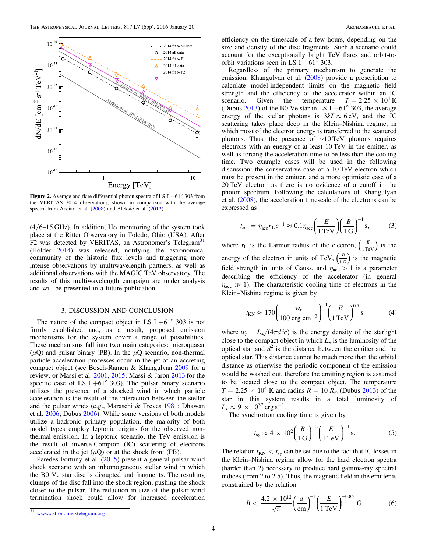<span id="page-4-0"></span>

Figure 2. Average and flare differential photon spectra of LS I  $+61^{\circ}$  303 from the VERITAS 2014 observations, shown in comparison with the average spectra from Acciari et al. ([2008](#page-5-11)) and Aleksić et al. ([2012](#page-5-23)).

 $(4/6-15$  GHz). In addition, H $\alpha$  monitoring of the system took place at the Ritter Observatory in Toledo, Ohio (USA). After F2 was detected by VERITAS, an Astronomer's Telegram<sup>[31](#page-4-1)</sup> (Holder [2014](#page-5-24)) was released, notifying the astronomical community of the historic flux levels and triggering more intense observations by multiwavelength partners, as well as additional observations with the MAGIC TeV observatory. The results of this multiwavelength campaign are under analysis and will be presented in a future publication.

## 3. DISCUSSION AND CONCLUSION

The nature of the compact object in LS I  $+61^{\circ}$  303 is not firmly established and, as a result, proposed emission mechanisms for the system cover a range of possibilities. These mechanisms fall into two main categories: microquasar  $(\mu Q)$  and pulsar binary (PB). In the  $\mu Q$  scenario, non-thermal particle-acceleration processes occur in the jet of an accreting compact object (see Bosch-Ramon & Khangulyan [2009](#page-5-25) for a review, or Massi et al. [2001](#page-5-26), [2015](#page-5-27); Massi & Jaron [2013](#page-5-28) for the specific case of LS I +61 $\degree$  303). The pulsar binary scenario utilizes the presence of a shocked wind in which particle acceleration is the result of the interaction between the stellar and the pulsar winds (e.g., Maraschi & Treves [1981;](#page-5-29) Dhawan et al. [2006](#page-5-30); Dubus [2006](#page-5-31)). While some versions of both models utilize a hadronic primary population, the majority of both model types employ leptonic origins for the observed nonthermal emission. In a leptonic scenario, the TeV emission is the result of inverse-Compton (IC) scattering of electrons accelerated in the jet  $(\mu Q)$  or at the shock front (PB).

Paredes-Fortuny et al. ([2015](#page-6-7)) present a general pulsar wind shock scenario with an inhomogeneous stellar wind in which the B0 Ve star disc is disrupted and fragments. The resulting clumps of the disc fall into the shock region, pushing the shock closer to the pulsar. The reduction in size of the pulsar wind termination shock could allow for increased acceleration efficiency on the timescale of a few hours, depending on the size and density of the disc fragments. Such a scenario could account for the exceptionally bright TeV flares and orbit-toorbit variations seen in LS I +61 $^{\circ}$  303.

Regardless of the primary mechanism to generate the emission, Khangulyan et al. ([2008](#page-5-32)) provide a prescription to calculate model-independent limits on the magnetic field strength and the efficiency of the accelerator within an IC scenario. Given the temperature  $T = 2.25 \times 10^4$  K (Dubus [2013](#page-5-18)) of the B0 Ve star in LS I +61 $^{\circ}$  303, the average energy of the stellar photons is  $3kT \approx 6$  eV, and the IC scattering takes place deep in the Klein–Nishina regime, in which most of the electron energy is transferred to the scattered photons. Thus, the presence of ∼10 TeV photons requires electrons with an energy of at least 10 TeV in the emitter, as well as forcing the acceleration time to be less than the cooling time. Two example cases will be used in the following discussion: the conservative case of a 10 TeV electron which must be present in the emitter, and a more optimistic case of a 20 TeV electron as there is no evidence of a cutoff in the photon spectrum. Following the calculations of Khangulyan et al. ([2008](#page-5-32)), the acceleration timescale of the electrons can be expressed as

<span id="page-4-2"></span>
$$
t_{\rm acc} = \eta_{\rm acc} r_{\rm L} c^{-1} \approx 0.1 \eta_{\rm acc} \left(\frac{E}{1 \,\text{TeV}}\right) \left(\frac{B}{1 \,\text{G}}\right)^{-1} \text{s},\tag{3}
$$

where  $r_L$  is the Larmor radius of the electron,  $\left(\frac{E}{1 \text{ TeV}}\right)$  is the energy of the electron in units of TeV,  $\left(\frac{B}{1 \text{ G}}\right)$  is the magnetic field strength in units of Gauss, and  $\eta_{\text{acc}} > 1$  is a parameter describing the efficiency of the accelerator (in general  $\eta_{\text{acc}} \gg 1$ ). The characteristic cooling time of electrons in the Klein–Nishina regime is given by

$$
t_{\rm KN} \approx 170 \left( \frac{w_r}{100 \text{ erg cm}^{-3}} \right)^{-1} \left( \frac{E}{1 \text{ TeV}} \right)^{0.7} \text{s}
$$
 (4)

where  $w_r = L_{\star}/(4\pi d^2 c)$  is the energy density of the starlight close to the compact object in which  $L_{\star}$  is the luminosity of the optical star and  $d^2$  is the distance between the emitter and the optical star. This distance cannot be much more than the orbital distance as otherwise the periodic component of the emission would be washed out, therefore the emitting region is assumed to be located close to the compact object. The temperature  $T = 2.25 \times 10^4$  K and radius  $R = 10 R_{\odot}$  (Dubus [2013](#page-5-18)) of the star in this system results in a total luminosity of  $L_{\star} \approx 9 \times 10^{37} \text{ erg s}^{-1}$ .

The synchrotron cooling time is given by

$$
t_{\rm sy} \approx 4 \times 10^2 \left(\frac{B}{1 \,\mathrm{G}}\right)^{-2} \left(\frac{E}{1 \,\mathrm{TeV}}\right)^{-1} \,\mathrm{s}.\tag{5}
$$

The relation  $t_{KN} < t_{sy}$  can be set due to the fact that IC losses in the Klein–Nishina regime allow for the hard electron spectra (harder than 2) necessary to produce hard gamma-ray spectral indices (from 2 to 2.5). Thus, the magnetic field in the emitter is constrained by the relation

$$
B < \frac{4.2 \times 10^{12}}{\sqrt{\pi}} \left(\frac{d}{cm}\right)^{-1} \left(\frac{E}{1 \, \text{TeV}}\right)^{-0.85} \, \text{G.} \tag{6}
$$

<span id="page-4-1"></span>[www.astronomerstelegram.org](http://www.astronomerstelegram.org)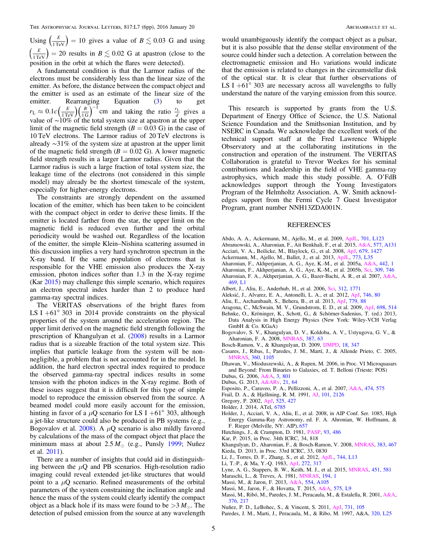Using  $\left(\frac{E}{1 \text{ TeV}}\right) = 10$  gives a value of  $B \lesssim 0.03$  G and using  $\left(\frac{E}{1 \text{TeV}}\right)$  = 20 results in  $B \lesssim 0.02$  G at apastron (close to the position in the orbit at which the flares were detected).

A fundamental condition is that the Larmor radius of the electrons must be considerably less than the linear size of the emitter. As before, the distance between the compact object and the emitter is used as an estimate of the linear size of the emitter. Rearranging Equation ([3](#page-4-2)) to get  $r_{\rm L} \approx 0.1 c \left(\frac{E}{1 \text{ TeV}}\right) \left(\frac{B}{1 \text{ G}}\right)^{-1} \text{ cm}$  $\left(\frac{E}{1 \text{ TeV}}\right) \left(\frac{B}{1 \text{ G}}\right)^{-1}$  cm and taking the ratio  $\frac{r_L}{d}$  gives a value of ∼10% of the total system size at apastron at the upper limit of the magnetic field strength ( $B = 0.03$  G) in the case of 10 TeV electrons. The Larmor radius of 20 TeV electrons is already ∼31% of the system size at apastron at the upper limit of the magnetic field strength ( $B = 0.02$  G). A lower magnetic field strength results in a larger Larmor radius. Given that the Larmor radius is such a large fraction of total system size, the leakage time of the electrons (not considered in this simple model) may already be the shortest timescale of the system, especially for higher-energy electrons.

The constraints are strongly dependent on the assumed location of the emitter, which has been taken to be coincident with the compact object in order to derive these limits. If the emitter is located farther from the star, the upper limit on the magnetic field is reduced even further and the orbital periodicity would be washed out. Regardless of the location of the emitter, the simple Klein–Nishina scattering assumed in this discussion implies a very hard synchrotron spectrum in the X-ray band. If the same population of electrons that is responsible for the VHE emission also produces the X-ray emission, photon indices softer than 1.3 in the X-ray regime (Kar [2015](#page-5-33)) may challenge this simple scenario, which requires an electron spectral index harder than 2 to produce hard gamma-ray spectral indices.

The VERITAS observations of the bright flares from LS I  $+61^{\circ}$  303 in 2014 provide constraints on the physical properties of the system around the acceleration region. The upper limit derived on the magnetic field strength following the prescription of Khangulyan et al. ([2008](#page-5-32)) results in a Larmor radius that is a sizeable fraction of the total system size. This implies that particle leakage from the system will be nonnegligible, a problem that is not accounted for in the model. In addition, the hard electron spectral index required to produce the observed gamma-ray spectral indices results in some tension with the photon indices in the X-ray regime. Both of these issues suggest that it is difficult for this type of simple model to reproduce the emission observed from the source. A beamed model could more easily account for the emission, hinting in favor of a  $\mu$ Q scenario for LS I +61° 303, although a jet-like structure could also be produced in PB systems (e.g., Bogovalov et al. [2008](#page-5-34)). A  $\mu$ Q scenario is also mildly favored by calculations of the mass of the compact object that place the minimum mass at about  $2.5 M_{\odot}$  (e.g., Punsly [1999](#page-6-8); Nuñez et al. [2011](#page-5-35)).

There are a number of insights that could aid in distinguishing between the  $\mu$ Q and PB scenarios. High-resolution radio imaging could reveal extended jet-like structures that would point to a  $\mu$ Q scenario. Refined measurements of the orbital parameters of the system constraining the inclination angle and hence the mass of the system could clearly identify the compact object as a black hole if its mass were found to be  $>3 M_{\odot}$ . The detection of pulsed emission from the source at any wavelength

would unambiguously identify the compact object as a pulsar, but it is also possible that the dense stellar environment of the source could hinder such a detection. A correlation between the electromagnetic emission and  $H\alpha$  variations would indicate that the emission is related to changes in the circumstellar disk of the optical star. It is clear that further observations of LS I  $+61^{\circ}$  303 are necessary across all wavelengths to fully understand the nature of the varying emission from this source.

This research is supported by grants from the U.S. Department of Energy Office of Science, the U.S. National Science Foundation and the Smithsonian Institution, and by NSERC in Canada. We acknowledge the excellent work of the technical support staff at the Fred Lawrence Whipple Observatory and at the collaborating institutions in the construction and operation of the instrument. The VERITAS Collaboration is grateful to Trevor Weekes for his seminal contributions and leadership in the field of VHE gamma-ray astrophysics, which made this study possible. A. O'FdB acknowledges support through the Young Investigators Program of the Helmholtz Association. A. W. Smith acknowledges support from the Fermi Cycle 7 Guest Investigator Program, grant number NNH13ZDA001N.

### REFERENCES

- <span id="page-5-12"></span>Abdo, A. A., Ackermann, M., Ajello, M., et al. 2009, [ApJL](http://dx.doi.org/10.1088/0004-637X/701/2/L123), [701, L123](http://adsabs.harvard.edu/abs/2009ApJ...701L.123A)
- <span id="page-5-4"></span>Abramowski, A., Aharonian, F., Ait Benkhali, F., et al. 2015, [A&A](http://dx.doi.org/10.1051/0004-6361/201525699), [577, A131](http://adsabs.harvard.edu/abs/2015A&A...577A.131H)
- <span id="page-5-11"></span>Acciari, V. A., Beilicke, M., Blaylock, G., et al. 2008, [ApJ,](http://dx.doi.org/10.1086/587736) [679, 1427](http://adsabs.harvard.edu/abs/2008ApJ...679.1427A)
- <span id="page-5-16"></span>Ackermann, M., Ajello, M., Ballet, J., et al. 2013, [ApJL](http://dx.doi.org/10.1088/2041-8205/773/2/L35), [773, L35](http://adsabs.harvard.edu/abs/2013ApJ...773L..35A)
- <span id="page-5-0"></span>Aharonian, F., Akhperjanian, A. G., Aye, K.-M., et al. 2005a, [A&A](http://dx.doi.org/10.1051/0004-6361:20052983), [442, 1](http://adsabs.harvard.edu/abs/2005A&A...442....1A)
- <span id="page-5-1"></span>Aharonian, F., Akhperjanian, A. G., Aye, K.-M., et al. 2005b, [Sci](http://dx.doi.org/10.1126/science.1113764), [309, 746](http://adsabs.harvard.edu/abs/2005Sci...309..746A)
- <span id="page-5-3"></span>Aharonian, F. A., Akhperjanian, A. G., Bazer-Bachi, A. R., et al. 2007, [A&A](http://dx.doi.org/10.1051/0004-6361:20077299)[,](http://adsabs.harvard.edu/abs/2007A&A...469L...1A) [469, L1](http://adsabs.harvard.edu/abs/2007A&A...469L...1A)
- <span id="page-5-2"></span>Albert, J., Aliu, E., Anderhub, H., et al. 2006, [Sci](http://dx.doi.org/10.1126/science.1128177), [312, 1771](http://adsabs.harvard.edu/abs/2006Sci...312.1771A)
- <span id="page-5-23"></span>Aleksić, J., Alvarez, E. A., Antonelli, L. A., et al. 2012, [ApJ](http://dx.doi.org/10.1088/0004-637X/746/1/80), [746, 80](http://adsabs.harvard.edu/abs/2012ApJ...746...80A)
- <span id="page-5-13"></span>Aliu, E., Archambault, S., Behera, B., et al. 2013, [ApJ,](http://dx.doi.org/10.1088/0004-637X/779/1/88) [779, 88](http://adsabs.harvard.edu/abs/2013ApJ...779...88A)
- <span id="page-5-17"></span>Aragona, C., McSwain, M. V., Grundstrom, E. D., et al. 2009, [ApJ](http://dx.doi.org/10.1088/0004-637X/698/1/514), [698, 514](http://adsabs.harvard.edu/abs/2009ApJ...698..514A)
- <span id="page-5-22"></span>Behnke, O., Kröninger, K., Schott, G., & Schörner-Sadenius, T. (ed.) 2013, Data Analysis in High Energy Physics (New York: Wiley-VCH Verlag GmbH & Co. KGaA)
- <span id="page-5-34"></span>Bogovalov, S. V., Khangulyan, D. V., Koldoba, A. V., Ustyugova, G. V., & Aharonian, F. A. 2008, [MNRAS](http://dx.doi.org/10.1111/j.1365-2966.2008.13226.x), [387, 63](http://adsabs.harvard.edu/abs/2008MNRAS.387...63B)
- <span id="page-5-25"></span>Bosch-Ramon, V., & Khangulyan, D. 2009, [IJMPD](http://dx.doi.org/10.1142/S0218271809014601), [18, 347](http://adsabs.harvard.edu/abs/2009IJMPD..18..347B)
- <span id="page-5-8"></span>Casares, J., Ribas, I., Paredes, J. M., Martí, J., & Allende Prieto, C. 2005, [MNRAS](http://dx.doi.org/10.1111/j.1365-2966.2005.09106.x), [360, 1105](http://adsabs.harvard.edu/abs/2005MNRAS.360.1105C)
- <span id="page-5-30"></span>Dhawan, V., Mioduszewski, A., & Rupen, M. 2006, in Proc. VI Microquasars and Beyond: From Binaries to Galaxies, ed. T. Belloni (Trieste: POS)
- <span id="page-5-31"></span><span id="page-5-18"></span>Dubus, G. 2006, [A&A,](http://dx.doi.org/10.1051/0004-6361:20054779) [3, 801](http://adsabs.harvard.edu/abs/2006A&A...456..801D) Dubus, G. 2013, [A&ARv](http://dx.doi.org/10.1007/s00159-013-0064-5), [21, 64](http://adsabs.harvard.edu/abs/2013A&ARv..21...64D)
- <span id="page-5-10"></span>Esposito, P., Caraveo, P. A., Pellizzoni, A., et al. 2007, [A&A,](http://dx.doi.org/10.1051/0004-6361:20078334) [474, 575](http://adsabs.harvard.edu/abs/2007A&A...474..575E)
- <span id="page-5-6"></span>
- <span id="page-5-14"></span>Frail, D. A., & Hjellming, R. M. 1991, [AJ,](http://dx.doi.org/10.1086/115833) [101, 2126](http://adsabs.harvard.edu/abs/1991AJ....101.2126F) Gregory, P. 2002, [ApJ](http://dx.doi.org/10.1086/341257), [525, 427](http://adsabs.harvard.edu/abs/2002ApJ...575..427G)
- <span id="page-5-24"></span>Holder, J. 2014, ATel, [6785](http://adsabs.harvard.edu/abs/2014ATel.6785....1H)
- <span id="page-5-19"></span>Holder, J., Acciari, V. A., Aliu, E., et al. 2008, in AIP Conf. Ser. 1085, High Energy Gamma-Ray Astronomy, ed. F. A. Ahronian, W. Hoffmann, & F. Rieger (Melville, NY: AIP), [657](http://adsabs.harvard.edu/abs/2008AIPC.1085..657H)
- <span id="page-5-7"></span>Hutchings, J., & Crampton, D. 1981, [PASP,](http://dx.doi.org/10.1086/130863) [93, 486](http://adsabs.harvard.edu/abs/1981PASP...93..486H)
- <span id="page-5-33"></span>Kar, P. 2015, in Proc. 34th ICRC, 34, 818
- <span id="page-5-32"></span>Khangulyan, D., Aharonian, F., & Bosch-Ramon, V. 2008, [MNRAS,](http://dx.doi.org/10.1111/j.1365-2966.2007.12572.x) [383, 467](http://adsabs.harvard.edu/abs/2008MNRAS.383..467K)
- <span id="page-5-20"></span>Kieda, D. 2013, in Proc. 33rd ICRC, 33, 0830
- <span id="page-5-15"></span>Li, J., Torres, D. F., Zhang, S., et al. 2012, [ApJL,](http://dx.doi.org/10.1088/2041-8205/744/1/L13) [744, L13](http://adsabs.harvard.edu/abs/2012ApJ...744L..13L)
- <span id="page-5-21"></span>Li, T.-P., & Ma, Y.-Q. 1983, [ApJ,](http://dx.doi.org/10.1086/161295) [272, 317](http://adsabs.harvard.edu/abs/1983ApJ...272..317L)
- <span id="page-5-5"></span>Lyne, A. G., Stappers, B. W., Keith, M. J., et al. 2015, [MNRAS](http://dx.doi.org/10.1093/mnras/stv236), [451, 581](http://adsabs.harvard.edu/abs/2015MNRAS.451..581L)
- <span id="page-5-29"></span>Maraschi, L., & Treves, A. 1981, [MNRAS](http://dx.doi.org/10.1093/mnras/194.1.1P), [194, 1](http://adsabs.harvard.edu/abs/1981MNRAS.194P...1M)
- <span id="page-5-28"></span>Massi, M., & Jaron, F. 2013, [A&A,](http://dx.doi.org/10.1051/0004-6361/201219685) [554, A105](http://adsabs.harvard.edu/abs/2013A&A...554A.105M)
- <span id="page-5-27"></span>Massi, M., Jaron, F., & Hovatta, T. 2015, [A&A](http://dx.doi.org/10.1051/0004-6361/201525643), [575, L9](http://adsabs.harvard.edu/abs/2015A&A...575L...9M)
- <span id="page-5-26"></span>Massi, M., Ribó, M., Paredes, J. M., Peracaula, M., & Estalella, R. 2001, [A&A](http://dx.doi.org/10.1051/0004-6361:20010953)[,](http://adsabs.harvard.edu/abs/2001A&A...376..217M) [376, 217](http://adsabs.harvard.edu/abs/2001A&A...376..217M)
- <span id="page-5-35"></span>Nuñez, P. D., LeBohec, S., & Vincent, S. 2011, [ApJ,](http://dx.doi.org/10.1088/0004-637X/731/2/105) [731, 105](http://adsabs.harvard.edu/abs/2011ApJ...731..105N)
- <span id="page-5-9"></span>Paredes, J. M., Marti, J., Peracaula, M., & Ribo, M. 1997, A&A, [320, L25](http://adsabs.harvard.edu/abs/1997A&A...320L..25P)